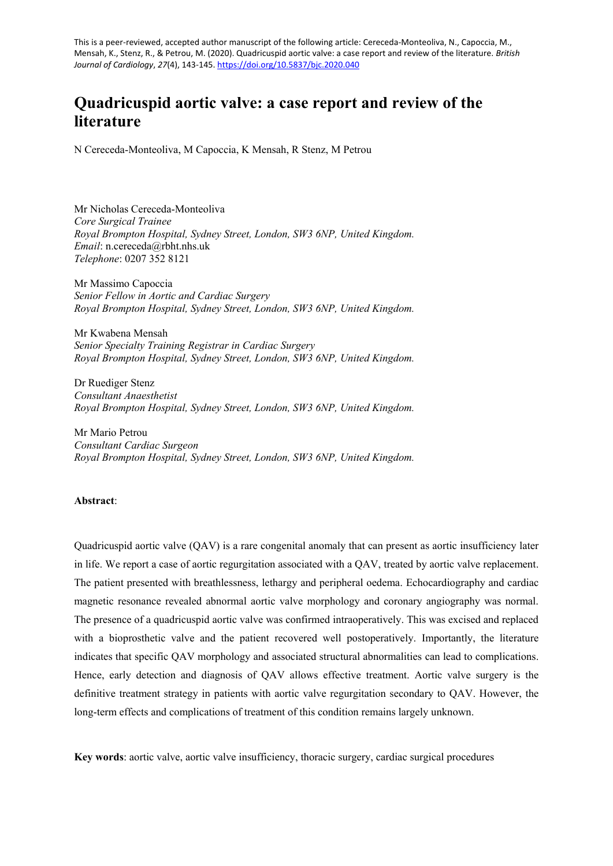This is a peer-reviewed, accepted author manuscript of the following article: Cereceda-Monteoliva, N., Capoccia, M., Mensah, K., Stenz, R., & Petrou, M. (2020). Quadricuspid aortic valve: a case report and review of the literature. *British Journal of Cardiology*, *27*(4), 143-145[. https://doi.org/10.5837/bjc.2020.040](https://doi.org/10.5837/bjc.2020.040)

# **Quadricuspid aortic valve: a case report and review of the literature**

N Cereceda-Monteoliva, M Capoccia, K Mensah, R Stenz, M Petrou

Mr Nicholas Cereceda-Monteoliva *Core Surgical Trainee Royal Brompton Hospital, Sydney Street, London, SW3 6NP, United Kingdom. Email*: n.cereceda@rbht.nhs.uk *Telephone*: 0207 352 8121

Mr Massimo Capoccia *Senior Fellow in Aortic and Cardiac Surgery Royal Brompton Hospital, Sydney Street, London, SW3 6NP, United Kingdom.*

Mr Kwabena Mensah *Senior Specialty Training Registrar in Cardiac Surgery Royal Brompton Hospital, Sydney Street, London, SW3 6NP, United Kingdom.*

Dr Ruediger Stenz *Consultant Anaesthetist Royal Brompton Hospital, Sydney Street, London, SW3 6NP, United Kingdom.*

Mr Mario Petrou *Consultant Cardiac Surgeon Royal Brompton Hospital, Sydney Street, London, SW3 6NP, United Kingdom.*

## **Abstract**:

Quadricuspid aortic valve (QAV) is a rare congenital anomaly that can present as aortic insufficiency later in life. We report a case of aortic regurgitation associated with a QAV, treated by aortic valve replacement. The patient presented with breathlessness, lethargy and peripheral oedema. Echocardiography and cardiac magnetic resonance revealed abnormal aortic valve morphology and coronary angiography was normal. The presence of a quadricuspid aortic valve was confirmed intraoperatively. This was excised and replaced with a bioprosthetic valve and the patient recovered well postoperatively. Importantly, the literature indicates that specific QAV morphology and associated structural abnormalities can lead to complications. Hence, early detection and diagnosis of QAV allows effective treatment. Aortic valve surgery is the definitive treatment strategy in patients with aortic valve regurgitation secondary to QAV. However, the long-term effects and complications of treatment of this condition remains largely unknown.

**Key words**: aortic valve, aortic valve insufficiency, thoracic surgery, cardiac surgical procedures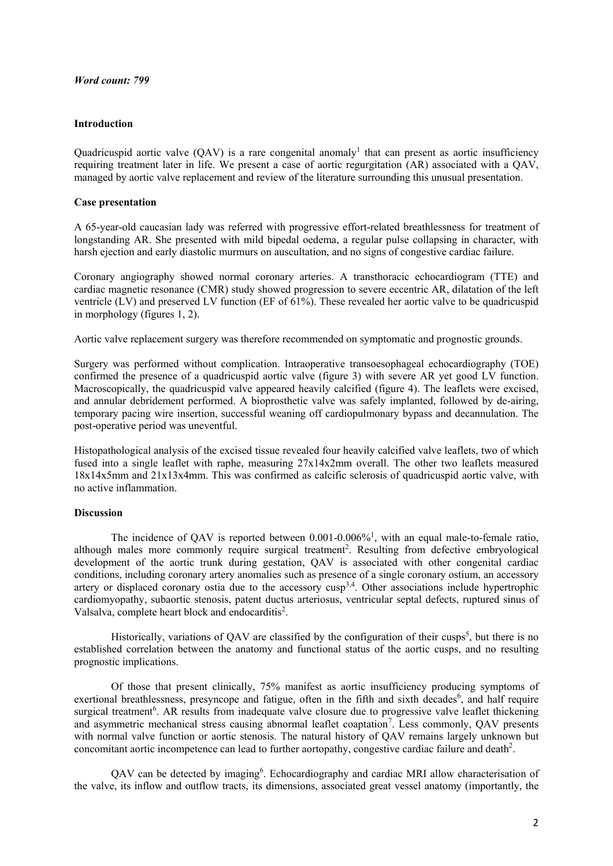## *Word count: 799*

### **Introduction**

Quadricuspid aortic valve  $(QAV)$  is a rare congenital anomaly<sup>1</sup> that can present as aortic insufficiency requiring treatment later in life. We present a case of aortic regurgitation (AR) associated with a QAV, managed by aortic valve replacement and review of the literature surrounding this unusual presentation.

## **Case presentation**

A 65-year-old caucasian lady was referred with progressive effort-related breathlessness for treatment of longstanding AR. She presented with mild bipedal oedema, a regular pulse collapsing in character, with harsh ejection and early diastolic murmurs on auscultation, and no signs of congestive cardiac failure.

Coronary angiography showed normal coronary arteries. A transthoracic echocardiogram (TTE) and cardiac magnetic resonance (CMR) study showed progression to severe eccentric AR, dilatation of the left ventricle (LV) and preserved LV function (EF of 61%). These revealed her aortic valve to be quadricuspid in morphology (figures 1, 2).

Aortic valve replacement surgery was therefore recommended on symptomatic and prognostic grounds.

Surgery was performed without complication. Intraoperative transoesophageal echocardiography (TOE) confirmed the presence of a quadricuspid aortic valve (figure 3) with severe AR yet good LV function. Macroscopically, the quadricuspid valve appeared heavily calcified (figure 4). The leaflets were excised, and annular debridement performed. A bioprosthetic valve was safely implanted, followed by de-airing, temporary pacing wire insertion, successful weaning off cardiopulmonary bypass and decannulation. The post-operative period was uneventful.

Histopathological analysis of the excised tissue revealed four heavily calcified valve leaflets, two of which fused into a single leaflet with raphe, measuring 27x14x2mm overall. The other two leaflets measured 18x14x5mm and 21x13x4mm. This was confirmed as calcific sclerosis of quadricuspid aortic valve, with no active inflammation.

### **Discussion**

The incidence of QAV is reported between  $0.001$ - $0.006\%$ <sup>1</sup>, with an equal male-to-female ratio, although males more commonly require surgical treatment<sup>2</sup>. Resulting from defective embryological development of the aortic trunk during gestation, QAV is associated with other congenital cardiac conditions, including coronary artery anomalies such as presence of a single coronary ostium, an accessory artery or displaced coronary ostia due to the accessory  $cusp^{3,4}$ . Other associations include hypertrophic cardiomyopathy, subaortic stenosis, patent ductus arteriosus, ventricular septal defects, ruptured sinus of Valsalva, complete heart block and endocarditis<sup>2</sup>.

Historically, variations of QAV are classified by the configuration of their cusps<sup>5</sup>, but there is no established correlation between the anatomy and functional status of the aortic cusps, and no resulting prognostic implications.

Of those that present clinically, 75% manifest as aortic insufficiency producing symptoms of exertional breathlessness, presyncope and fatigue, often in the fifth and sixth decades<sup>6</sup>, and half require surgical treatment<sup>6</sup>. AR results from inadequate valve closure due to progressive valve leaflet thickening and asymmetric mechanical stress causing abnormal leaflet coaptation<sup>7</sup>. Less commonly, QAV presents with normal valve function or aortic stenosis. The natural history of QAV remains largely unknown but concomitant aortic incompetence can lead to further aortopathy, congestive cardiac failure and death<sup>2</sup>.

QAV can be detected by imaging<sup>6</sup>. Echocardiography and cardiac MRI allow characterisation of the valve, its inflow and outflow tracts, its dimensions, associated great vessel anatomy (importantly, the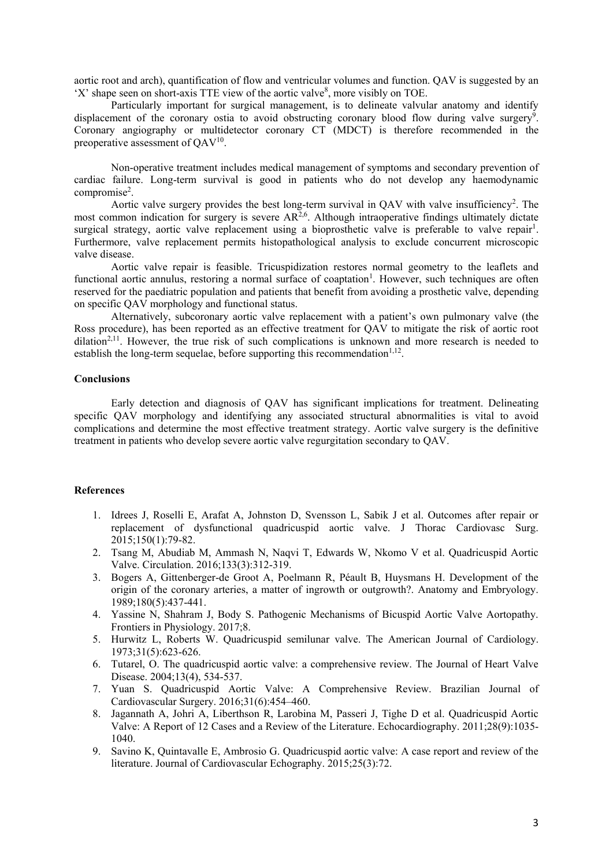aortic root and arch), quantification of flow and ventricular volumes and function. QAV is suggested by an 'X' shape seen on short-axis TTE view of the aortic valve $\delta$ , more visibly on TOE.

Particularly important for surgical management, is to delineate valvular anatomy and identify displacement of the coronary ostia to avoid obstructing coronary blood flow during valve surgery<sup>9</sup>. Coronary angiography or multidetector coronary CT (MDCT) is therefore recommended in the preoperative assessment of  $QAV^{10}$ .

Non-operative treatment includes medical management of symptoms and secondary prevention of cardiac failure. Long-term survival is good in patients who do not develop any haemodynamic compromise<sup>2</sup>.

Aortic valve surgery provides the best long-term survival in QAV with valve insufficiency<sup>2</sup>. The most common indication for surgery is severe  $AR^{2,6}$ . Although intraoperative findings ultimately dictate surgical strategy, aortic valve replacement using a bioprosthetic valve is preferable to valve repair<sup>1</sup>. Furthermore, valve replacement permits histopathological analysis to exclude concurrent microscopic valve disease.

Aortic valve repair is feasible. Tricuspidization restores normal geometry to the leaflets and functional aortic annulus, restoring a normal surface of coaptation<sup>1</sup>. However, such techniques are often reserved for the paediatric population and patients that benefit from avoiding a prosthetic valve, depending on specific QAV morphology and functional status.

Alternatively, subcoronary aortic valve replacement with a patient's own pulmonary valve (the Ross procedure), has been reported as an effective treatment for QAV to mitigate the risk of aortic root dilation<sup>2,11</sup>. However, the true risk of such complications is unknown and more research is needed to establish the long-term sequelae, before supporting this recommendation $1,12$ .

## **Conclusions**

Early detection and diagnosis of QAV has significant implications for treatment. Delineating specific QAV morphology and identifying any associated structural abnormalities is vital to avoid complications and determine the most effective treatment strategy. Aortic valve surgery is the definitive treatment in patients who develop severe aortic valve regurgitation secondary to QAV.

### **References**

- 1. Idrees J, Roselli E, Arafat A, Johnston D, Svensson L, Sabik J et al. Outcomes after repair or replacement of dysfunctional quadricuspid aortic valve. J Thorac Cardiovasc Surg. 2015;150(1):79-82.
- 2. Tsang M, Abudiab M, Ammash N, Naqvi T, Edwards W, Nkomo V et al. Quadricuspid Aortic Valve. Circulation. 2016;133(3):312-319.
- 3. Bogers A, Gittenberger-de Groot A, Poelmann R, Péault B, Huysmans H. Development of the origin of the coronary arteries, a matter of ingrowth or outgrowth?. Anatomy and Embryology. 1989;180(5):437-441.
- 4. Yassine N, Shahram J, Body S. Pathogenic Mechanisms of Bicuspid Aortic Valve Aortopathy. Frontiers in Physiology. 2017;8.
- 5. Hurwitz L, Roberts W. Quadricuspid semilunar valve. The American Journal of Cardiology. 1973;31(5):623-626.
- 6. Tutarel, O. The quadricuspid aortic valve: a comprehensive review. The Journal of Heart Valve Disease. 2004;13(4), 534-537.
- 7. Yuan S. Quadricuspid Aortic Valve: A Comprehensive Review. Brazilian Journal of Cardiovascular Surgery. 2016;31(6):454–460.
- 8. Jagannath A, Johri A, Liberthson R, Larobina M, Passeri J, Tighe D et al. Quadricuspid Aortic Valve: A Report of 12 Cases and a Review of the Literature. Echocardiography. 2011;28(9):1035- 1040.
- 9. Savino K, Quintavalle E, Ambrosio G. Quadricuspid aortic valve: A case report and review of the literature. Journal of Cardiovascular Echography. 2015;25(3):72.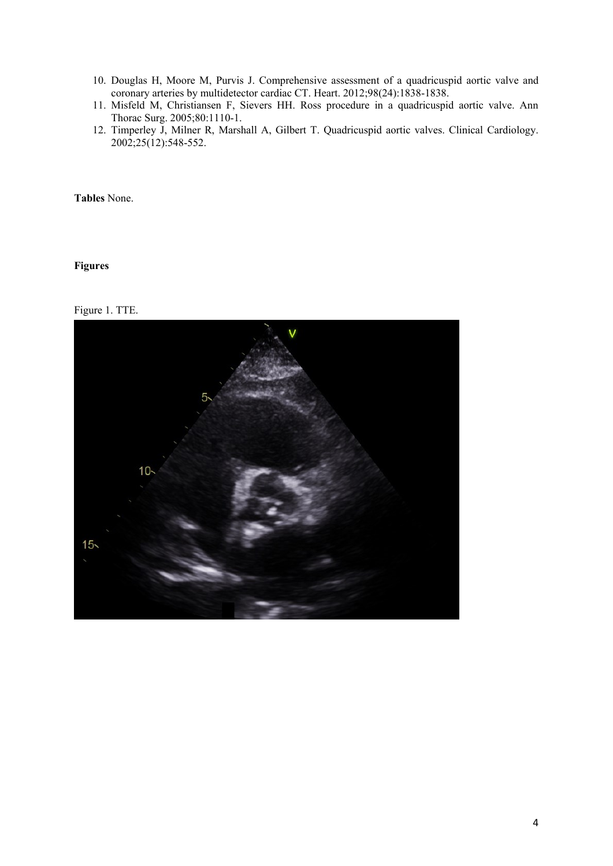- 10. Douglas H, Moore M, Purvis J. Comprehensive assessment of a quadricuspid aortic valve and coronary arteries by multidetector cardiac CT. Heart. 2012;98(24):1838-1838.
- 11. Misfeld M, Christiansen F, Sievers HH. Ross procedure in a quadricuspid aortic valve. Ann Thorac Surg. 2005;80:1110-1.
- 12. Timperley J, Milner R, Marshall A, Gilbert T. Quadricuspid aortic valves. Clinical Cardiology. 2002;25(12):548-552.

**Tables** None.

**Figures**

Figure 1. TTE.

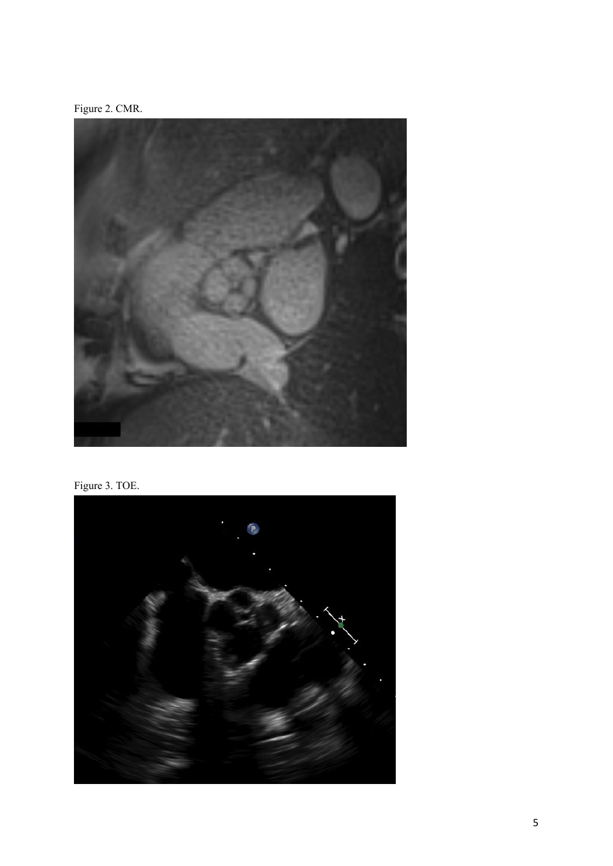Figure 2. CMR.



Figure 3. TOE.